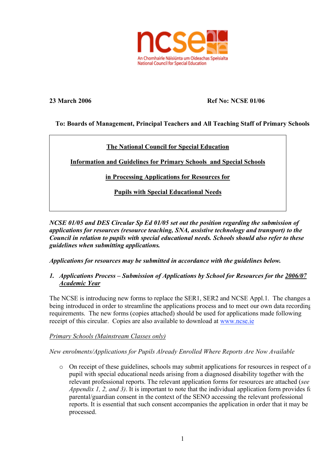

# **23 March 2006 Ref No: NCSE 01/06**

# **To: Boards of Management, Principal Teachers and All Teaching Staff of Primary Schools**

# **The National Council for Special Education**

**Information and Guidelines for Primary Schools and Special Schools**

**in Processing Applications for Resources for**

**Pupils with Special Educational Needs**

*NCSE 01/05 and DES Circular Sp Ed 01/05 set out the position regarding the submission of applications for resources (resource teaching, SNA, assistive technology and transport) to the Council in relation to pupils with special educational needs. Schools should also refer to these guidelines when submitting applications.*

*Applications for resources may be submitted in accordance with the guidelines below.*

*1. Applications Process – Submission of Applications by School for Resources for the 2006/07 Academic Year*

The NCSE is introducing new forms to replace the SER1, SER2 and NCSE Appl.1. The changes a being introduced in order to streamline the applications process and to meet our own data recording requirements. The new forms (copies attached) should be used for applications made following receipt of this circular. Copies are also available to download at www.ncse.ie

# *Primary Schools (Mainstream Classes only)*

# *New enrolments/Applications for Pupils Already Enrolled Where Reports Are Now Available*

o On receipt of these guidelines, schools may submit applications for resources in respect of a pupil with special educational needs arising from a diagnosed disability together with the relevant professional reports. The relevant application forms for resources are attached (*see Appendix 1, 2, and 3).* It is important to note that the individual application form provides for parental/guardian consent in the context of the SENO accessing the relevant professional reports. It is essential that such consent accompanies the application in order that it may be processed.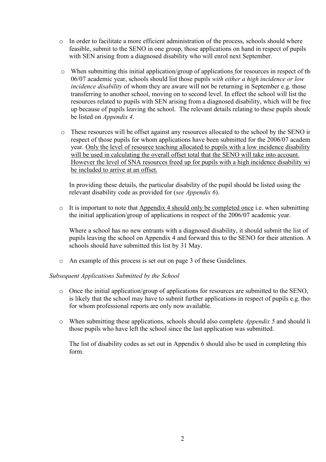- $\circ$  In order to facilitate a more efficient administration of the process, schools should where feasible, submit to the SENO in one group, those applications on hand in respect of pupils with SEN arising from a diagnosed disability who will enrol next September.
- o When submitting this initial application/group of applications for resources in respect of the 06/07 academic year, schools should list those pupils *with either a high incidence or low incidence disability* of whom they are aware will not be returning in September e.g. those transferring to another school, moving on to second level. In effect the school will list the resources related to pupils with SEN arising from a diagnosed disability, which will be free up because of pupils leaving the school. The relevant details relating to these pupils should be listed on *Appendix 4*.
- o These resources will be offset against any resources allocated to the school by the SENO in respect of those pupils for whom applications have been submitted for the 2006/07 academ year. Only the level of resource teaching allocated to pupils with a low incidence disability will be used in calculating the overall offset total that the SENO will take into account. However the level of SNA resources freed up for pupils with a high incidence disability will be included to arrive at an offset.

In providing these details, the particular disability of the pupil should be listed using the relevant disability code as provided for (*see Appendix 6*).

o It is important to note that Appendix 4 should only be completed once i.e. when submitting the initial application/group of applications in respect of the 2006/07 academic year.

Where a school has no new entrants with a diagnosed disability, it should submit the list of pupils leaving the school on Appendix 4 and forward this to the SENO for their attention. A schools should have submitted this list by 31 May.

o An example of this process is set out on page 3 of these Guidelines.

# *Subsequent Applications Submitted by the School*

- $\circ$  Once the initial application/group of applications for resources are submitted to the SENO, is likely that the school may have to submit further applications in respect of pupils e.g. those for whom professional reports are only now available.
- o When submitting these applications, schools should also complete *Appendix 5* and should list those pupils who have left the school since the last application was submitted.

The list of disability codes as set out in Appendix 6 should also be used in completing this form.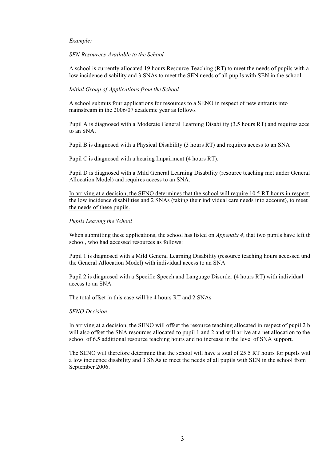#### *Example:*

#### *SEN Resources Available to the School*

A school is currently allocated 19 hours Resource Teaching (RT) to meet the needs of pupils with a low incidence disability and 3 SNAs to meet the SEN needs of all pupils with SEN in the school.

#### *Initial Group of Applications from the School*

A school submits four applications for resources to a SENO in respect of new entrants into mainstream in the 2006/07 academic year as follows

Pupil A is diagnosed with a Moderate General Learning Disability (3.5 hours RT) and requires access to an SNA.

Pupil B is diagnosed with a Physical Disability (3 hours RT) and requires access to an SNA

Pupil C is diagnosed with a hearing Impairment (4 hours RT).

Pupil D is diagnosed with a Mild General Learning Disability (resource teaching met under General Allocation Model) and requires access to an SNA.

In arriving at a decision, the SENO determines that the school will require 10.5 RT hours in respect the low incidence disabilities and 2 SNAs (taking their individual care needs into account), to meet the needs of these pupils.

#### *Pupils Leaving the School*

When submitting these applications, the school has listed on *Appendix 4*, that two pupils have left the school, who had accessed resources as follows:

Pupil 1 is diagnosed with a Mild General Learning Disability (resource teaching hours accessed und the General Allocation Model) with individual access to an SNA

Pupil 2 is diagnosed with a Specific Speech and Language Disorder (4 hours RT) with individual access to an SNA.

### The total offset in this case will be 4 hours RT and 2 SNAs

#### *SENO Decision*

In arriving at a decision, the SENO will offset the resource teaching allocated in respect of pupil  $2 b$ will also offset the SNA resources allocated to pupil 1 and 2 and will arrive at a net allocation to the school of 6.5 additional resource teaching hours and no increase in the level of SNA support.

The SENO will therefore determine that the school will have a total of 25.5 RT hours for pupils with a low incidence disability and 3 SNAs to meet the needs of all pupils with SEN in the school from September 2006.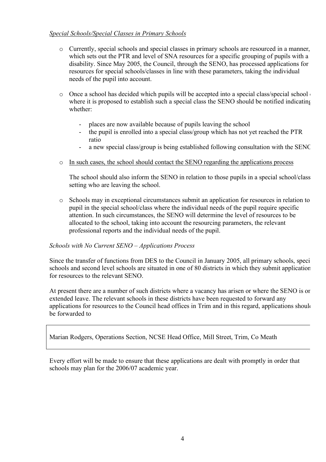### *Special Schools/Special Classes in Primary Schools*

- o Currently, special schools and special classes in primary schools are resourced in a manner, which sets out the PTR and level of SNA resources for a specific grouping of pupils with a disability. Since May 2005, the Council, through the SENO, has processed applications for resources for special schools/classes in line with these parameters, taking the individual needs of the pupil into account.
- $\circ$  Once a school has decided which pupils will be accepted into a special class/special school where it is proposed to establish such a special class the SENO should be notified indicating whether:
	- places are now available because of pupils leaving the school
	- the pupil is enrolled into a special class/group which has not yet reached the PTR ratio
	- a new special class/group is being established following consultation with the SENC
- o In such cases, the school should contact the SENO regarding the applications process

The school should also inform the SENO in relation to those pupils in a special school/class setting who are leaving the school.

o Schools may in exceptional circumstances submit an application for resources in relation to a pupil in the special school/class where the individual needs of the pupil require specific attention. In such circumstances, the SENO will determine the level of resources to be allocated to the school, taking into account the resourcing parameters, the relevant professional reports and the individual needs of the pupil.

### *Schools with No Current SENO – Applications Process*

Since the transfer of functions from DES to the Council in January 2005, all primary schools, specischools and second level schools are situated in one of 80 districts in which they submit application for resources to the relevant SENO.

At present there are a number of such districts where a vacancy has arisen or where the SENO is on extended leave. The relevant schools in these districts have been requested to forward any applications for resources to the Council head offices in Trim and in this regard, applications should be forwarded to

Marian Rodgers, Operations Section, NCSE Head Office, Mill Street, Trim, Co Meath

Every effort will be made to ensure that these applications are dealt with promptly in order that schools may plan for the 2006/07 academic year.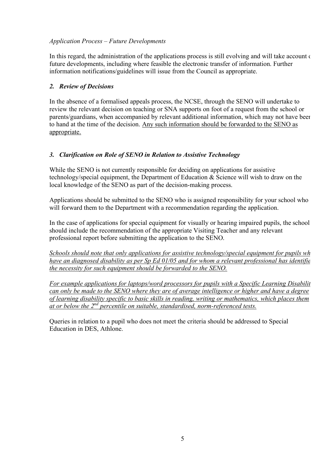# *Application Process – Future Developments*

In this regard, the administration of the applications process is still evolving and will take account of future developments, including where feasible the electronic transfer of information. Further information notifications/guidelines will issue from the Council as appropriate.

# *2. Review of Decisions*

In the absence of a formalised appeals process, the NCSE, through the SENO will undertake to review the relevant decision on teaching or SNA supports on foot of a request from the school or parents/guardians, when accompanied by relevant additional information, which may not have been to hand at the time of the decision. Any such information should be forwarded to the SENO as appropriate.

# *3. Clarification on Role of SENO in Relation to Assistive Technology*

While the SENO is not currently responsible for deciding on applications for assistive technology/special equipment, the Department of Education & Science will wish to draw on the local knowledge of the SENO as part of the decision-making process.

Applications should be submitted to the SENO who is assigned responsibility for your school who will forward them to the Department with a recommendation regarding the application.

In the case of applications for special equipment for visually or hearing impaired pupils, the school should include the recommendation of the appropriate Visiting Teacher and any relevant professional report before submitting the application to the SENO.

*Schools should note that only applications for assistive technology/special equipment for pupils who have an diagnosed disability as per Sp Ed 01/05 and for whom a relevant professional has identified the necessity for such equipment should be forwarded to the SENO.*

*For example applications for laptops/word processors for pupils with a Specific Learning Disabilit can only be made to the SENO where they are of average intelligence or higher and have a degree of learning disability specific to basic skills in reading, writing or mathematics, which places them at or below the 2nd percentile on suitable, standardised, norm-referenced tests.*

Queries in relation to a pupil who does not meet the criteria should be addressed to Special Education in DES, Athlone.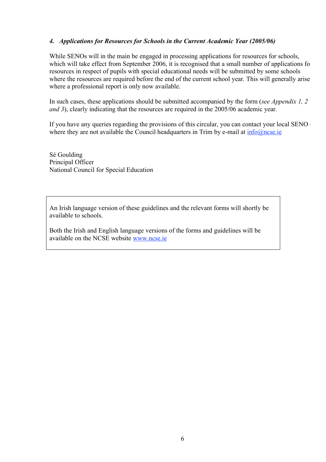# *4. Applications for Resources for Schools in the Current Academic Year (2005/06)*

While SENOs will in the main be engaged in processing applications for resources for schools, which will take effect from September 2006, it is recognised that a small number of applications for resources in respect of pupils with special educational needs will be submitted by some schools where the resources are required before the end of the current school year. This will generally arise where a professional report is only now available.

In such cases, these applications should be submitted accompanied by the form (*see Appendix 1, 2 and 3*), clearly indicating that the resources are required in the 2005/06 academic year.

If you have any queries regarding the provisions of this circular, you can contact your local SENO where they are not available the Council headquarters in Trim by e-mail at  $info@nese.e$ 

Sé Goulding Principal Officer National Council for Special Education

An Irish language version of these guidelines and the relevant forms will shortly be available to schools.

Both the Irish and English language versions of the forms and guidelines will be available on the NCSE website www.ncse.ie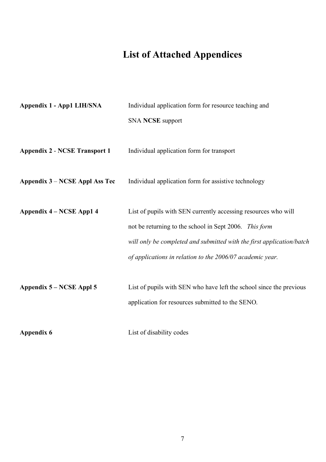# **List of Attached Appendices**

| Appendix 1 - App1 LIH/SNA            | Individual application form for resource teaching and                 |
|--------------------------------------|-----------------------------------------------------------------------|
|                                      | <b>SNA NCSE</b> support                                               |
|                                      |                                                                       |
| <b>Appendix 2 - NCSE Transport 1</b> | Individual application form for transport                             |
|                                      |                                                                       |
| Appendix 3 – NCSE Appl Ass Tec       | Individual application form for assistive technology                  |
|                                      |                                                                       |
| Appendix 4 – NCSE App1 4             | List of pupils with SEN currently accessing resources who will        |
|                                      | not be returning to the school in Sept 2006. This form                |
|                                      | will only be completed and submitted with the first application/batch |
|                                      | of applications in relation to the 2006/07 academic year.             |
|                                      |                                                                       |
| Appendix 5 – NCSE Appl 5             | List of pupils with SEN who have left the school since the previous   |
|                                      | application for resources submitted to the SENO.                      |
|                                      |                                                                       |
| <b>Appendix 6</b>                    | List of disability codes                                              |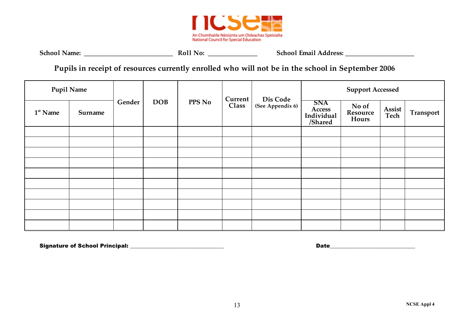

| <b>School Name:</b> | Roll No: | <b>School Email Address:</b> |
|---------------------|----------|------------------------------|
|                     |          |                              |

**Pupils in receipt of resources currently enrolled who will not be in the school in September 2006**

| <b>Pupil Name</b> |         |        |  |  | Current    |        | <b>Support Accessed</b> |                              |                                               |                            |                |           |
|-------------------|---------|--------|--|--|------------|--------|-------------------------|------------------------------|-----------------------------------------------|----------------------------|----------------|-----------|
| $1st$ Name        | Surname | Gender |  |  | <b>DOB</b> | PPS No | Class                   | Dis Code<br>(See Appendix 6) | <b>SNA</b><br>Access<br>Individual<br>/Shared | No of<br>Resource<br>Hours | Assist<br>Tech | Transport |
|                   |         |        |  |  |            |        |                         |                              |                                               |                            |                |           |
|                   |         |        |  |  |            |        |                         |                              |                                               |                            |                |           |
|                   |         |        |  |  |            |        |                         |                              |                                               |                            |                |           |
|                   |         |        |  |  |            |        |                         |                              |                                               |                            |                |           |
|                   |         |        |  |  |            |        |                         |                              |                                               |                            |                |           |
|                   |         |        |  |  |            |        |                         |                              |                                               |                            |                |           |
|                   |         |        |  |  |            |        |                         |                              |                                               |                            |                |           |
|                   |         |        |  |  |            |        |                         |                              |                                               |                            |                |           |
|                   |         |        |  |  |            |        |                         |                              |                                               |                            |                |           |
|                   |         |        |  |  |            |        |                         |                              |                                               |                            |                |           |

Signature of School Principal: \_\_\_\_\_\_\_\_\_\_\_\_\_\_\_\_\_\_\_\_\_\_\_\_\_\_\_\_\_\_\_\_\_\_ Date\_\_\_\_\_\_\_\_\_\_\_\_\_\_\_\_\_\_\_\_\_\_\_\_\_\_\_\_\_\_\_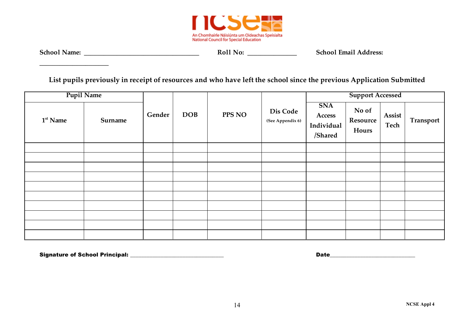

**\_\_\_\_\_\_\_\_\_\_\_\_\_\_\_\_\_\_\_\_\_**

**School Name: \_\_\_\_\_\_\_\_\_\_\_\_\_\_\_\_\_\_\_\_\_\_\_\_\_\_\_\_\_\_\_\_\_\_\_ Roll No: \_\_\_\_\_\_\_\_\_\_\_\_\_\_\_ School Email Address:**

**List pupils previously in receipt of resources and who have left the school since the previous Application Submitted** 

| <b>Pupil Name</b> |         |        |            |        |                              | <b>Support Accessed</b>                       |                            |                |           |
|-------------------|---------|--------|------------|--------|------------------------------|-----------------------------------------------|----------------------------|----------------|-----------|
| $1st$ Name        | Surname | Gender | <b>DOB</b> | PPS NO | Dis Code<br>(See Appendix 6) | <b>SNA</b><br>Access<br>Individual<br>/Shared | No of<br>Resource<br>Hours | Assist<br>Tech | Transport |
|                   |         |        |            |        |                              |                                               |                            |                |           |
|                   |         |        |            |        |                              |                                               |                            |                |           |
|                   |         |        |            |        |                              |                                               |                            |                |           |
|                   |         |        |            |        |                              |                                               |                            |                |           |
|                   |         |        |            |        |                              |                                               |                            |                |           |
|                   |         |        |            |        |                              |                                               |                            |                |           |
|                   |         |        |            |        |                              |                                               |                            |                |           |
|                   |         |        |            |        |                              |                                               |                            |                |           |
|                   |         |        |            |        |                              |                                               |                            |                |           |
|                   |         |        |            |        |                              |                                               |                            |                |           |

Signature of School Principal: \_\_\_\_\_\_\_\_\_\_\_\_\_\_\_\_\_\_\_\_\_\_\_\_\_\_\_\_\_\_\_\_\_\_ Date\_\_\_\_\_\_\_\_\_\_\_\_\_\_\_\_\_\_\_\_\_\_\_\_\_\_\_\_\_\_\_